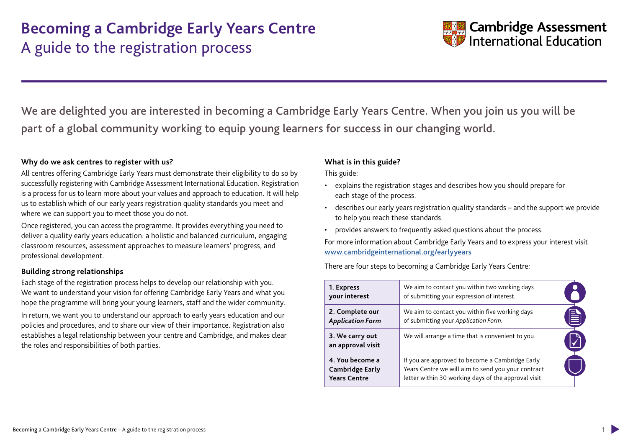

We are delighted you are interested in becoming a Cambridge Early Years Centre. When you join us you will be part of a global community working to equip young learners for success in our changing world.

### **Why do we ask centres to register with us?**

All centres offering Cambridge Early Years must demonstrate their eligibility to do so by successfully registering with Cambridge Assessment International Education. Registration is a process for us to learn more about your values and approach to education. It will help us to establish which of our early years registration quality standards you meet and where we can support you to meet those you do not.

Once registered, you can access the programme. It provides everything you need to deliver a quality early years education: a holistic and balanced curriculum, engaging classroom resources, assessment approaches to measure learners' progress, and professional development.

### **Building strong relationships**

Each stage of the registration process helps to develop our relationship with you. We want to understand your vision for offering Cambridge Early Years and what you hope the programme will bring your young learners, staff and the wider community. In return, we want you to understand our approach to early years education and our policies and procedures, and to share our view of their importance. Registration also establishes a legal relationship between your centre and Cambridge, and makes clear the roles and responsibilities of both parties.

### **What is in this guide?**

This guide:

- explains the registration stages and describes how you should prepare for each stage of the process.
- describes our early years registration quality standards and the support we provide to help you reach these standards.
- provides answers to frequently asked questions about the process.

For more information about Cambridge Early Years and to express your interest visit [www.cambridgeinternational.org/earlyyears](http://www.cambridgeinternational.org/earlyyears)

There are four steps to becoming a Cambridge Early Years Centre:

| 1. Express<br>your interest                                      | We aim to contact you within two working days<br>of submitting your expression of interest.                                                                   |   |
|------------------------------------------------------------------|---------------------------------------------------------------------------------------------------------------------------------------------------------------|---|
| 2. Complete our<br><b>Application Form</b>                       | We aim to contact you within five working days<br>of submitting your Application Form.                                                                        | 自 |
| 3. We carry out<br>an approval visit                             | We will arrange a time that is convenient to you.                                                                                                             |   |
| 4. You become a<br><b>Cambridge Early</b><br><b>Years Centre</b> | If you are approved to become a Cambridge Early<br>Years Centre we will aim to send you your contract<br>letter within 30 working days of the approval visit. |   |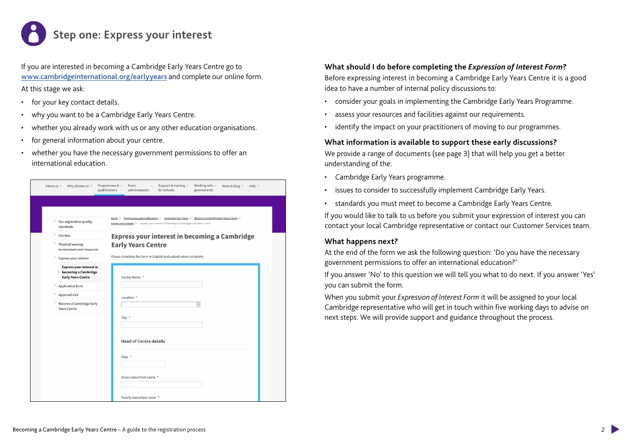# **Step one: Express your interest**

If you are interested in becoming a Cambridge Early Years Centre go to [www.cambridgeinternational.org/earlyyears](http://www.cambridgeinternational.org/earlyyears) and complete our online form. At this stage we ask:

- for your key contact details.
- why you want to be a Cambridge Early Years Centre.
- whether you already work with us or any other education organisations.
- for general information about your centre.
- whether you have the necessary government permissions to offer an international education.

| Why choose us v<br>About us $\sim$                                                        | Programmes & v<br>Working with v<br>Support & training $\cdot$<br>Exam<br>News & blog v<br>Help v<br>qualifications<br>for schools<br>administration<br>governments |
|-------------------------------------------------------------------------------------------|---------------------------------------------------------------------------------------------------------------------------------------------------------------------|
|                                                                                           |                                                                                                                                                                     |
|                                                                                           | Programmes and qualifications > Cambridge Early Years > Become a Cambridge Early Years Centre ><br>Home >                                                           |
| Our registration quality<br>standards                                                     | Express your interest > Express your interest in becoming a Cambridge Early Years Centre                                                                            |
| $\, >$<br>Our fees                                                                        | <b>Express your interest in becoming a Cambridge</b>                                                                                                                |
| Physical learning<br>environment and resources                                            | <b>Early Years Centre</b>                                                                                                                                           |
| $\, > \,$<br>Express your interest                                                        | Please complete the form in English and submit when complete.                                                                                                       |
| <b>Express your interest in</b><br>becoming a Cambridge<br>×<br><b>Early Years Centre</b> | Centre Name *                                                                                                                                                       |
| $\,$<br>Application form                                                                  |                                                                                                                                                                     |
| $\,$<br>Approval visit                                                                    | Location *                                                                                                                                                          |
| $\,$<br>Become a Cambridge Early<br><b>Years Centre</b>                                   |                                                                                                                                                                     |
|                                                                                           | City *                                                                                                                                                              |
|                                                                                           |                                                                                                                                                                     |
|                                                                                           | <b>Head of Centre details</b>                                                                                                                                       |
|                                                                                           | Title *                                                                                                                                                             |
|                                                                                           |                                                                                                                                                                     |
|                                                                                           | Given name/first name *                                                                                                                                             |
|                                                                                           | Family name/last name *                                                                                                                                             |

### **What should I do before completing the** *Expression of Interest Form***?**

Before expressing interest in becoming a Cambridge Early Years Centre it is a good idea to have a number of internal policy discussions to:

- consider your goals in implementing the Cambridge Early Years Programme.
- assess your resources and facilities against our requirements.
- identify the impact on your practitioners of moving to our programmes.

### **What information is available to support these early discussions?**

We provide a range of documents (see page 3) that will help you get a better understanding of the:

- Cambridge Early Years programme.
- issues to consider to successfully implement Cambridge Early Years.
- standards you must meet to become a Cambridge Early Years Centre.

If you would like to talk to us before you submit your expression of interest you can contact your local Cambridge representative or contact our Customer Services team.

### **What happens next?**

At the end of the form we ask the following question: 'Do you have the necessary government permissions to offer an international education?'

If you answer 'No' to this question we will tell you what to do next. If you answer 'Yes' you can submit the form.

When you submit your *Expression of Interest Form* it will be assigned to your local Cambridge representative who will get in touch within five working days to advise on next steps. We will provide support and guidance throughout the process.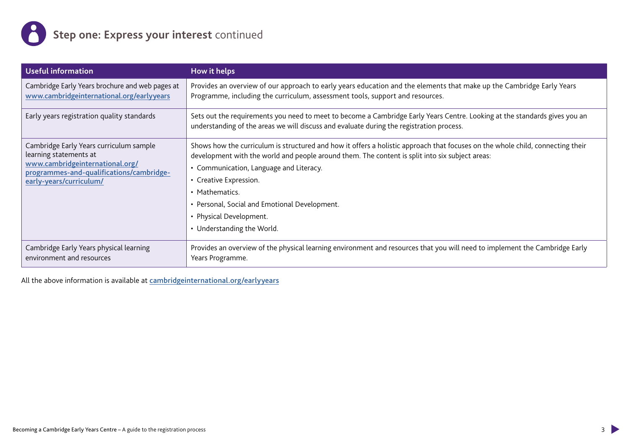

| <b>Useful information</b>                                                                                                                                                   | How it helps                                                                                                                                                                                                                                                                                                                                                                                                                       |
|-----------------------------------------------------------------------------------------------------------------------------------------------------------------------------|------------------------------------------------------------------------------------------------------------------------------------------------------------------------------------------------------------------------------------------------------------------------------------------------------------------------------------------------------------------------------------------------------------------------------------|
| Cambridge Early Years brochure and web pages at<br>www.cambridgeinternational.org/earlyyears                                                                                | Provides an overview of our approach to early years education and the elements that make up the Cambridge Early Years<br>Programme, including the curriculum, assessment tools, support and resources.                                                                                                                                                                                                                             |
| Early years registration quality standards                                                                                                                                  | Sets out the requirements you need to meet to become a Cambridge Early Years Centre. Looking at the standards gives you an<br>understanding of the areas we will discuss and evaluate during the registration process.                                                                                                                                                                                                             |
| Cambridge Early Years curriculum sample<br>learning statements at<br>www.cambridgeinternational.org/<br>programmes-and-qualifications/cambridge-<br>early-years/curriculum/ | Shows how the curriculum is structured and how it offers a holistic approach that focuses on the whole child, connecting their<br>development with the world and people around them. The content is split into six subject areas:<br>• Communication, Language and Literacy.<br>• Creative Expression.<br>• Mathematics.<br>• Personal, Social and Emotional Development.<br>• Physical Development.<br>• Understanding the World. |
| Cambridge Early Years physical learning<br>environment and resources                                                                                                        | Provides an overview of the physical learning environment and resources that you will need to implement the Cambridge Early<br>Years Programme.                                                                                                                                                                                                                                                                                    |

All the above information is available at [cambridgeinternational.org/earlyyears](http://cambridgeinternational.org/earlyyears)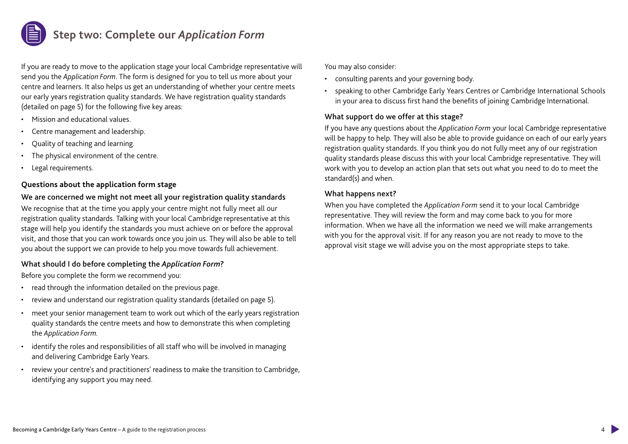

If you are ready to move to the application stage your local Cambridge representative will send you the *Application Form*. The form is designed for you to tell us more about your centre and learners. It also helps us get an understanding of whether your centre meets our early years registration quality standards. We have registration quality standards (detailed on page 5) for the following five key areas:

- Mission and educational values.
- Centre management and leadership.
- Quality of teaching and learning.
- The physical environment of the centre.
- Legal requirements.

### **Questions about the application form stage**

### We are concerned we might not meet all your registration quality standards

We recognise that at the time you apply your centre might not fully meet all our registration quality standards. Talking with your local Cambridge representative at this stage will help you identify the standards you must achieve on or before the approval visit, and those that you can work towards once you join us. They will also be able to tell you about the support we can provide to help you move towards full achievement.

### What should I do before completing the *Application Form*?

Before you complete the form we recommend you:

- read through the information detailed on the previous page.
- review and understand our registration quality standards (detailed on page 5).
- meet your senior management team to work out which of the early years registration quality standards the centre meets and how to demonstrate this when completing the *Application Form.*
- identify the roles and responsibilities of all staff who will be involved in managing and delivering Cambridge Early Years.
- review your centre's and practitioners' readiness to make the transition to Cambridge, identifying any support you may need.

You may also consider:

- consulting parents and your governing body.
- speaking to other Cambridge Early Years Centres or Cambridge International Schools in your area to discuss first hand the benefits of joining Cambridge International.

### What support do we offer at this stage?

If you have any questions about the *Application Form* your local Cambridge representative will be happy to help. They will also be able to provide guidance on each of our early years registration quality standards. If you think you do not fully meet any of our registration quality standards please discuss this with your local Cambridge representative. They will work with you to develop an action plan that sets out what you need to do to meet the standard(s) and when.

### What happens next?

When you have completed the *Application Form* send it to your local Cambridge representative. They will review the form and may come back to you for more information. When we have all the information we need we will make arrangements with you for the approval visit. If for any reason you are not ready to move to the approval visit stage we will advise you on the most appropriate steps to take.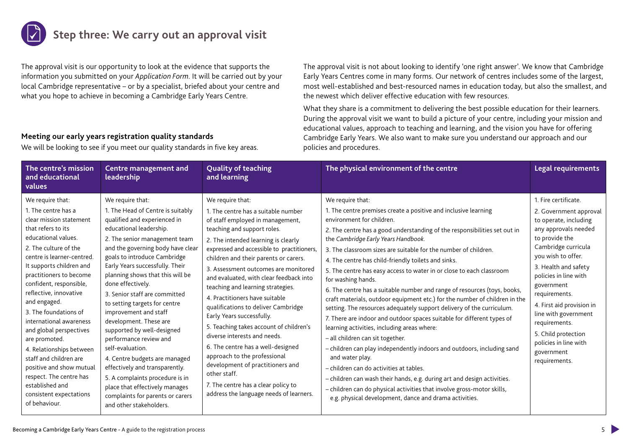

The approval visit is our opportunity to look at the evidence that supports the information you submitted on your *Application Form*. It will be carried out by your local Cambridge representative – or by a specialist, briefed about your centre and what you hope to achieve in becoming a Cambridge Early Years Centre.

The approval visit is not about looking to identify 'one right answer'. We know that Cambridge Early Years Centres come in many forms. Our network of centres includes some of the largest, most well-established and best-resourced names in education today, but also the smallest, and the newest which deliver effective education with few resources.

What they share is a commitment to delivering the best possible education for their learners. During the approval visit we want to build a picture of your centre, including your mission and educational values, approach to teaching and learning, and the vision you have for offering Cambridge Early Years. We also want to make sure you understand our approach and our policies and procedures.

### **Meeting our early years registration quality standards**

We will be looking to see if you meet our quality standards in five key areas.

| The centre's mission<br>and educational<br>values                                                                                                                                                                                                                                                                                                                                                                                                                                                                                                                              | <b>Centre management and</b><br>leadership                                                                                                                                                                                                                                                                                                                                                                                                                                                                                                                                                                                                                                                                                 | <b>Quality of teaching</b><br>and learning                                                                                                                                                                                                                                                                                                                                                                                                                                                                                                                                                                                                                                                                                                                                   | The physical environment of the centre                                                                                                                                                                                                                                                                                                                                                                                                                                                                                                                                                                                                                                                                                                                                                                                                                                                                                                                                                                                                                                                                                                                                                                              | Legal requirements                                                                                                                                                                                                                                                                                                                                                                                  |
|--------------------------------------------------------------------------------------------------------------------------------------------------------------------------------------------------------------------------------------------------------------------------------------------------------------------------------------------------------------------------------------------------------------------------------------------------------------------------------------------------------------------------------------------------------------------------------|----------------------------------------------------------------------------------------------------------------------------------------------------------------------------------------------------------------------------------------------------------------------------------------------------------------------------------------------------------------------------------------------------------------------------------------------------------------------------------------------------------------------------------------------------------------------------------------------------------------------------------------------------------------------------------------------------------------------------|------------------------------------------------------------------------------------------------------------------------------------------------------------------------------------------------------------------------------------------------------------------------------------------------------------------------------------------------------------------------------------------------------------------------------------------------------------------------------------------------------------------------------------------------------------------------------------------------------------------------------------------------------------------------------------------------------------------------------------------------------------------------------|---------------------------------------------------------------------------------------------------------------------------------------------------------------------------------------------------------------------------------------------------------------------------------------------------------------------------------------------------------------------------------------------------------------------------------------------------------------------------------------------------------------------------------------------------------------------------------------------------------------------------------------------------------------------------------------------------------------------------------------------------------------------------------------------------------------------------------------------------------------------------------------------------------------------------------------------------------------------------------------------------------------------------------------------------------------------------------------------------------------------------------------------------------------------------------------------------------------------|-----------------------------------------------------------------------------------------------------------------------------------------------------------------------------------------------------------------------------------------------------------------------------------------------------------------------------------------------------------------------------------------------------|
| We require that:<br>1. The centre has a<br>clear mission statement<br>that refers to its<br>educational values.<br>2. The culture of the<br>centre is learner-centred.<br>It supports children and<br>practitioners to become<br>confident, responsible,<br>reflective, innovative<br>and engaged.<br>3. The foundations of<br>international awareness<br>and global perspectives<br>are promoted.<br>4. Relationships between<br>staff and children are<br>positive and show mutual<br>respect. The centre has<br>established and<br>consistent expectations<br>of behaviour. | We require that:<br>1. The Head of Centre is suitably<br>qualified and experienced in<br>educational leadership.<br>2. The senior management team<br>and the governing body have clear<br>goals to introduce Cambridge<br>Early Years successfully. Their<br>planning shows that this will be<br>done effectively.<br>3. Senior staff are committed<br>to setting targets for centre<br>improvement and staff<br>development. These are<br>supported by well-designed<br>performance review and<br>self-evaluation.<br>4. Centre budgets are managed<br>effectively and transparently.<br>5. A complaints procedure is in<br>place that effectively manages<br>complaints for parents or carers<br>and other stakeholders. | We require that:<br>1. The centre has a suitable number<br>of staff employed in management,<br>teaching and support roles.<br>2. The intended learning is clearly<br>expressed and accessible to practitioners,<br>children and their parents or carers.<br>3. Assessment outcomes are monitored<br>and evaluated, with clear feedback into<br>teaching and learning strategies.<br>4. Practitioners have suitable<br>qualifications to deliver Cambridge<br>Early Years successfully.<br>5. Teaching takes account of children's<br>diverse interests and needs.<br>6. The centre has a well-designed<br>approach to the professional<br>development of practitioners and<br>other staff.<br>7. The centre has a clear policy to<br>address the language needs of learners. | We require that:<br>1. The centre premises create a positive and inclusive learning<br>environment for children.<br>2. The centre has a good understanding of the responsibilities set out in<br>the Cambridge Early Years Handbook.<br>3. The classroom sizes are suitable for the number of children.<br>4. The centre has child-friendly toilets and sinks.<br>5. The centre has easy access to water in or close to each classroom<br>for washing hands.<br>6. The centre has a suitable number and range of resources (toys, books,<br>craft materials, outdoor equipment etc.) for the number of children in the<br>setting. The resources adequately support delivery of the curriculum.<br>7. There are indoor and outdoor spaces suitable for different types of<br>learning activities, including areas where:<br>- all children can sit together.<br>- children can play independently indoors and outdoors, including sand<br>and water play.<br>- children can do activities at tables.<br>- children can wash their hands, e.g. during art and design activities.<br>- children can do physical activities that involve gross-motor skills,<br>e.g. physical development, dance and drama activities. | 1. Fire certificate.<br>2. Government approval<br>to operate, including<br>any approvals needed<br>to provide the<br>Cambridge curricula<br>you wish to offer.<br>3. Health and safety<br>policies in line with<br>government<br>requirements.<br>4. First aid provision in<br>line with government<br>requirements.<br>5. Child protection<br>policies in line with<br>government<br>requirements. |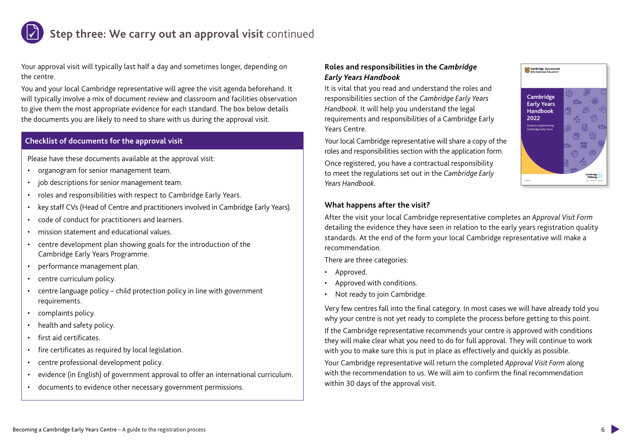### **Step three: We carry out an approval visit** continued

Your approval visit will typically last half a day and sometimes longer, depending on the centre.

You and your local Cambridge representative will agree the visit agenda beforehand. It will typically involve a mix of document review and classroom and facilities observation to give them the most appropriate evidence for each standard. The box below details the documents you are likely to need to share with us during the approval visit.

### **Checklist of documents for the approval visit**

Please have these documents available at the approval visit:

- organogram for senior management team.
- job descriptions for senior management team.
- roles and responsibilities with respect to Cambridge Early Years.
- key staff CVs (Head of Centre and practitioners involved in Cambridge Early Years).
- code of conduct for practitioners and learners.
- mission statement and educational values.
- centre development plan showing goals for the introduction of the Cambridge Early Years Programme.
- performance management plan.
- centre curriculum policy.
- centre language policy child protection policy in line with government requirements.
- complaints policy.
- health and safety policy.
- first aid certificates.
- fire certificates as required by local legislation.
- centre professional development policy.
- evidence (in English) of government approval to offer an international curriculum.
- documents to evidence other necessary government permissions.

### **Roles and responsibilities in the** *Cambridge Early Years Handbook*

It is vital that you read and understand the roles and responsibilities section of the *Cambridge Early Years Handbook*. It will help you understand the legal requirements and responsibilities of a Cambridge Early Years Centre.

Your local Cambridge representative will share a copy of the roles and responsibilities section with the application form.

Once registered, you have a contractual responsibility to meet the regulations set out in the *Cambridge Early Years Handbook*.

### **What happens after the visit?**

After the visit your local Cambridge representative completes an *Approval Visit Form* detailing the evidence they have seen in relation to the early years registration quality standards. At the end of the form your local Cambridge representative will make a recommendation.

There are three categories:

- Approved.
- Approved with conditions.
- Not ready to join Cambridge.

Very few centres fall into the final category. In most cases we will have already told you why your centre is not yet ready to complete the process before getting to this point. If the Cambridge representative recommends your centre is approved with conditions they will make clear what you need to do for full approval. They will continue to work with you to make sure this is put in place as effectively and quickly as possible.

Your Cambridge representative will return the completed *Approval Visit Form* along with the recommendation to us. We will aim to confirm the final recommendation within 30 days of the approval visit.



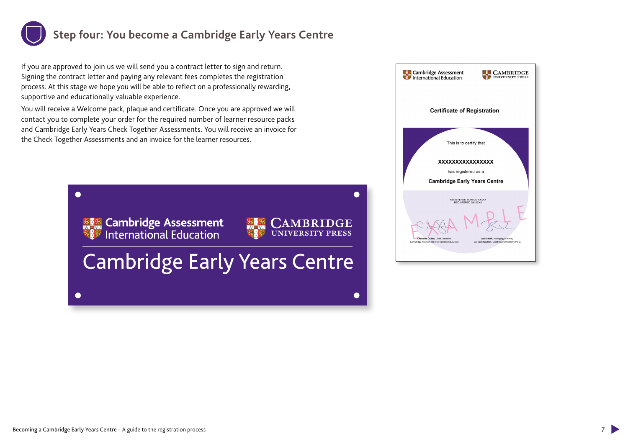## **Step four: You become a Cambridge Early Years Centre**

If you are approved to join us we will send you a contract letter to sign and return. Signing the contract letter and paying any relevant fees completes the registration process. At this stage we hope you will be able to reflect on a professionally rewarding, supportive and educationally valuable experience.

You will receive a Welcome pack, plaque and certificate. Once you are approved we will contact you to complete your order for the required number of learner resource packs and Cambridge Early Years Check Together Assessments. You will receive an invoice for the Check Together Assessments and an invoice for the learner resources.